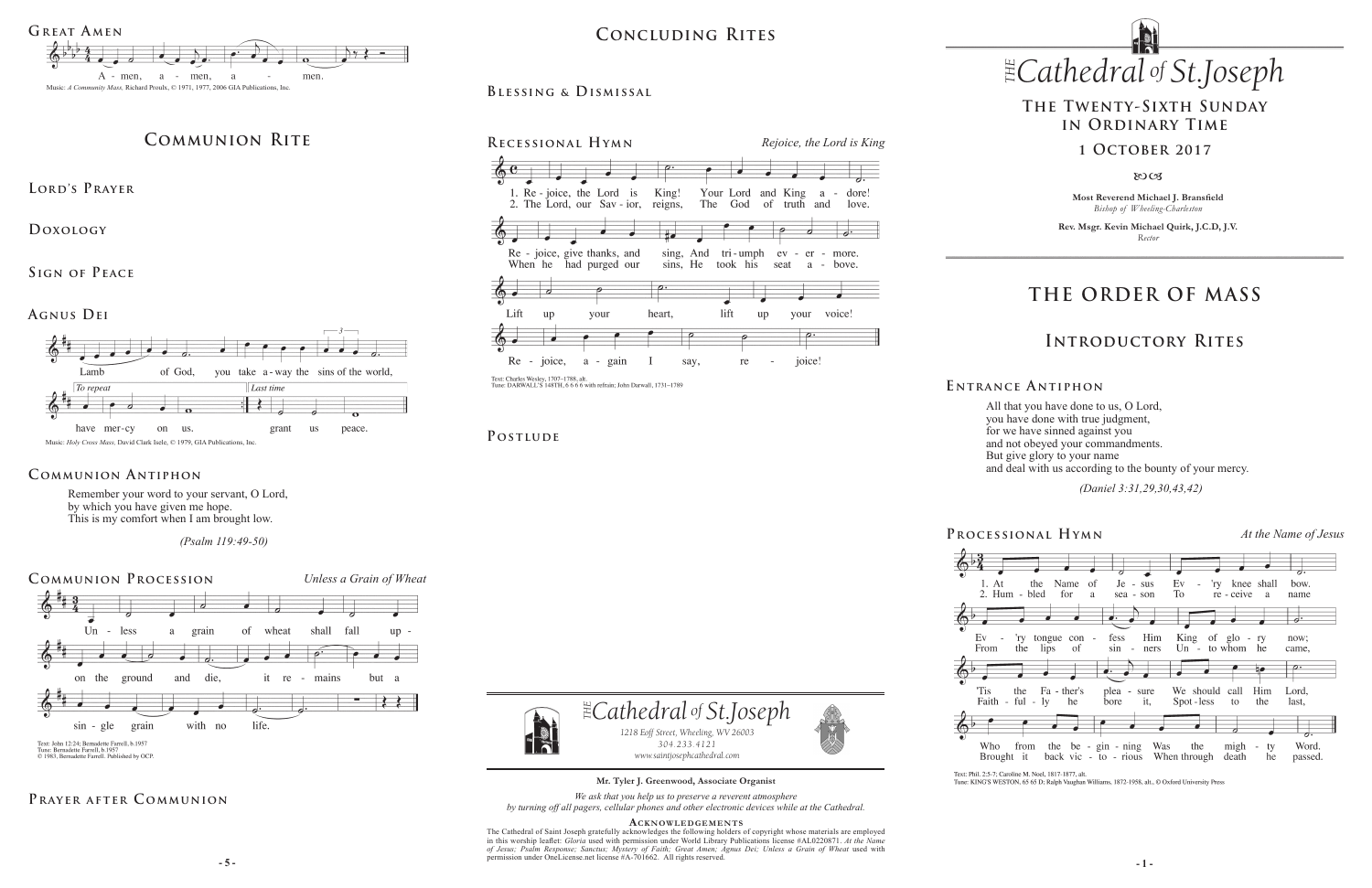**Most Reverend Michael J. Bransfield** *Bishop of Wheeling-Charleston*

**Rev. Msgr. Kevin Michael Quirk, J.C.D, J.V.** *Rector*

#### *Cathedral St THE of .Joseph*







Text: Phil. 2:5-7; Caroline M. Noel, 1817-1877, alt.

 $\left(5\right)^{\frac{3}{2}}$ 

 $Ev$ 

From

'Tis

Faith

Who

 $\sim$ 



# **THE ORDER OF MASS**

# **Introductory Rites**

## **The Twenty-Sixth Sunday in Ordinary Time**

### **1 October 2017**

80CB

# **Prayer after C ommunion**

**Processional Hymn** *At the Name of Jesus*



Tune: KING'S WESTON, 65 65 D; Ralph Vaughan Williams, 1872-1958, alt., © Oxford University Press

All that you have done to us, O Lord, you have done with true judgment, for we have sinned against you and not obeyed your commandments. But give glory to your name and deal with us according to the bounty of your mercy.

 *(Daniel 3:31,29,30,43,42)* 

**E ntrance A ntiphon**

**5** - **5** - **1** - **1** - **1** - **1** - **1** - **1** - **1** - **1** - **1** - **1** - **1** - **1** - **1** - **1** - **1** - **1** - **1** - **1** - **1** - **1** - **1** - **1** - **1** - **1** - **1** - **1** - **1** - **1** - **1** - **1** - **1** - **1** - **1** - **1** - **1** - The Cathedral of Saint Joseph gratefully acknowledges the following holders of copyright whose materials are employed in this worship leaflet: *Gloria* used with permission under World Library Publications license #AL0220871. *At the Name of Jesus; Psalm Response; Sanctus; Mystery of Faith; Great Amen; Agnus Dei; Unless a Grain of Wheat* used with permission under OneLicense.net license #A-701662.All rights reserved.



Remember your word to your servant, O Lord, by which you have given me hope. This is my comfort when I am brought low.

 *(Psalm 119:49-50)*

## **Communion Antiphon**

**Mr. Tyler J. Greenwood, Associate Organist**

*We ask that you help us to preserve a reverent atmosphere by turning off all pagers, cellular phones and other electronic devices while at the Cathedral.*

#### **Acknowledgement s**



POSTLUDE





# **Communion Rite**

**Lord's Prayer**

**Doxology** 

**Sign of Peace** 

## **Blessing & Dismissal**

**Agnus Dei**